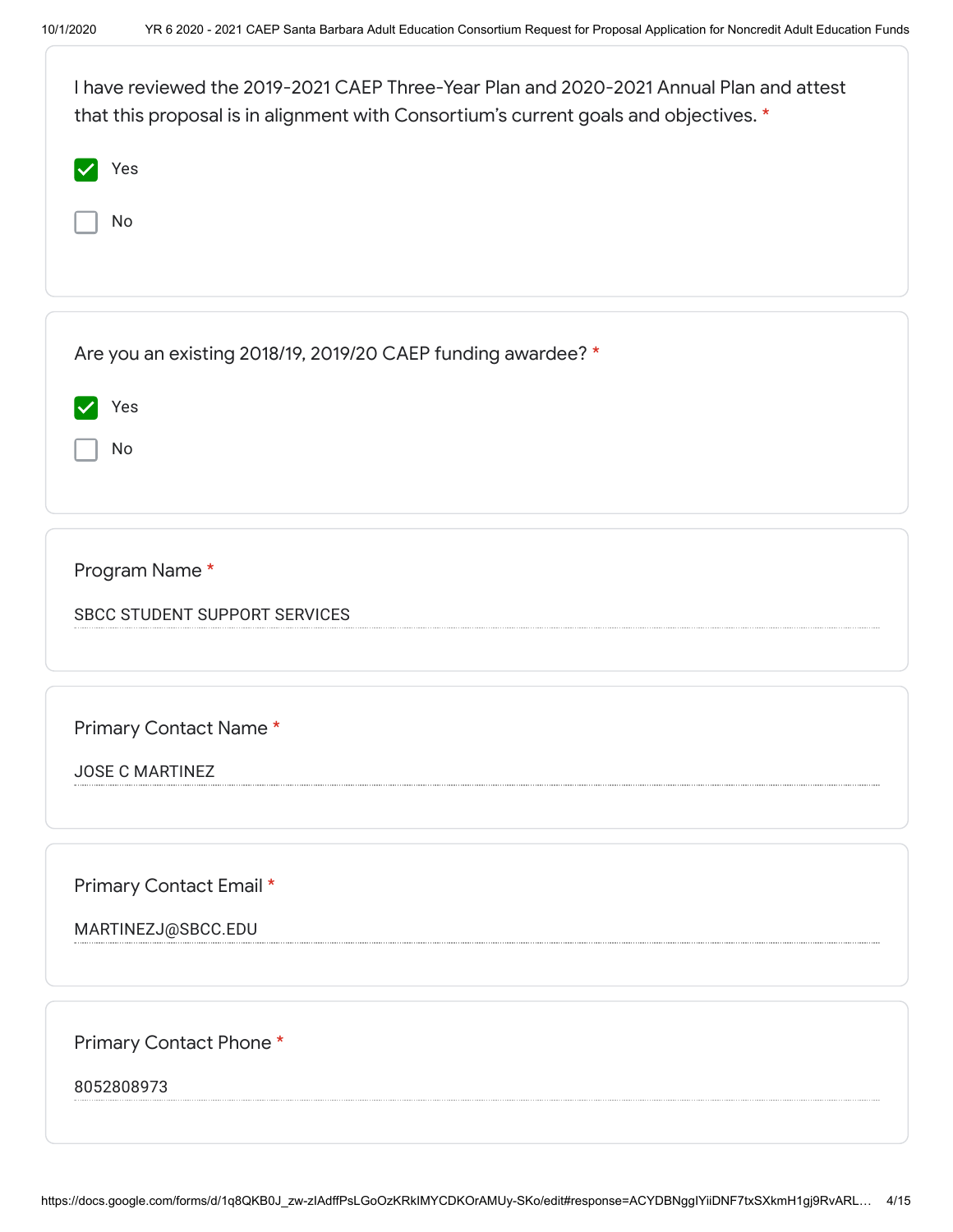| I have reviewed the 2019-2021 CAEP Three-Year Plan and 2020-2021 Annual Plan and attest<br>that this proposal is in alignment with Consortium's current goals and objectives. *<br>Yes<br>No |
|----------------------------------------------------------------------------------------------------------------------------------------------------------------------------------------------|
|                                                                                                                                                                                              |
| Are you an existing 2018/19, 2019/20 CAEP funding awardee? *                                                                                                                                 |
| Yes                                                                                                                                                                                          |
| No                                                                                                                                                                                           |
|                                                                                                                                                                                              |
|                                                                                                                                                                                              |
| Program Name*                                                                                                                                                                                |
| <b>SBCC STUDENT SUPPORT SERVICES</b>                                                                                                                                                         |
|                                                                                                                                                                                              |
|                                                                                                                                                                                              |
| Primary Contact Name*                                                                                                                                                                        |
| <b>JOSE C MARTINEZ</b>                                                                                                                                                                       |
|                                                                                                                                                                                              |
|                                                                                                                                                                                              |
| Primary Contact Email *                                                                                                                                                                      |
| MARTINEZJ@SBCC.EDU                                                                                                                                                                           |
|                                                                                                                                                                                              |
|                                                                                                                                                                                              |
| Primary Contact Phone*                                                                                                                                                                       |
| 8052808973                                                                                                                                                                                   |
|                                                                                                                                                                                              |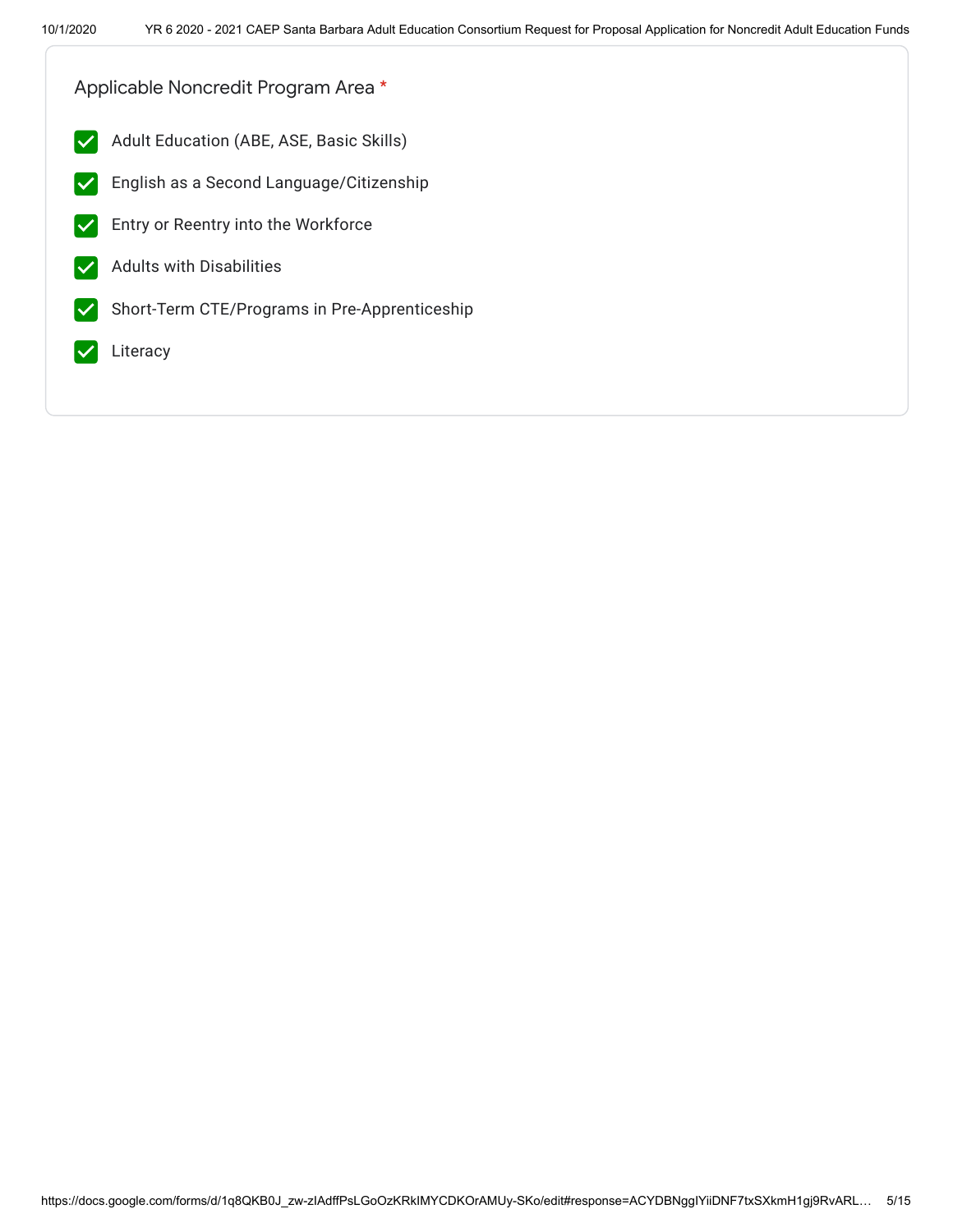Applicable Noncredit Program Area \*

- $|\mathcal{A}|$ Adult Education (ABE, ASE, Basic Skills)
- English as a Second Language/Citizenship  $|\boldsymbol{\mathcal{p}}|$
- Entry or Reentry into the Workforce
- Adults with Disabilities  $\blacktriangledown$
- Short-Term CTE/Programs in Pre-Apprenticeship  $\blacktriangledown$
- Literacy  $\blacktriangledown$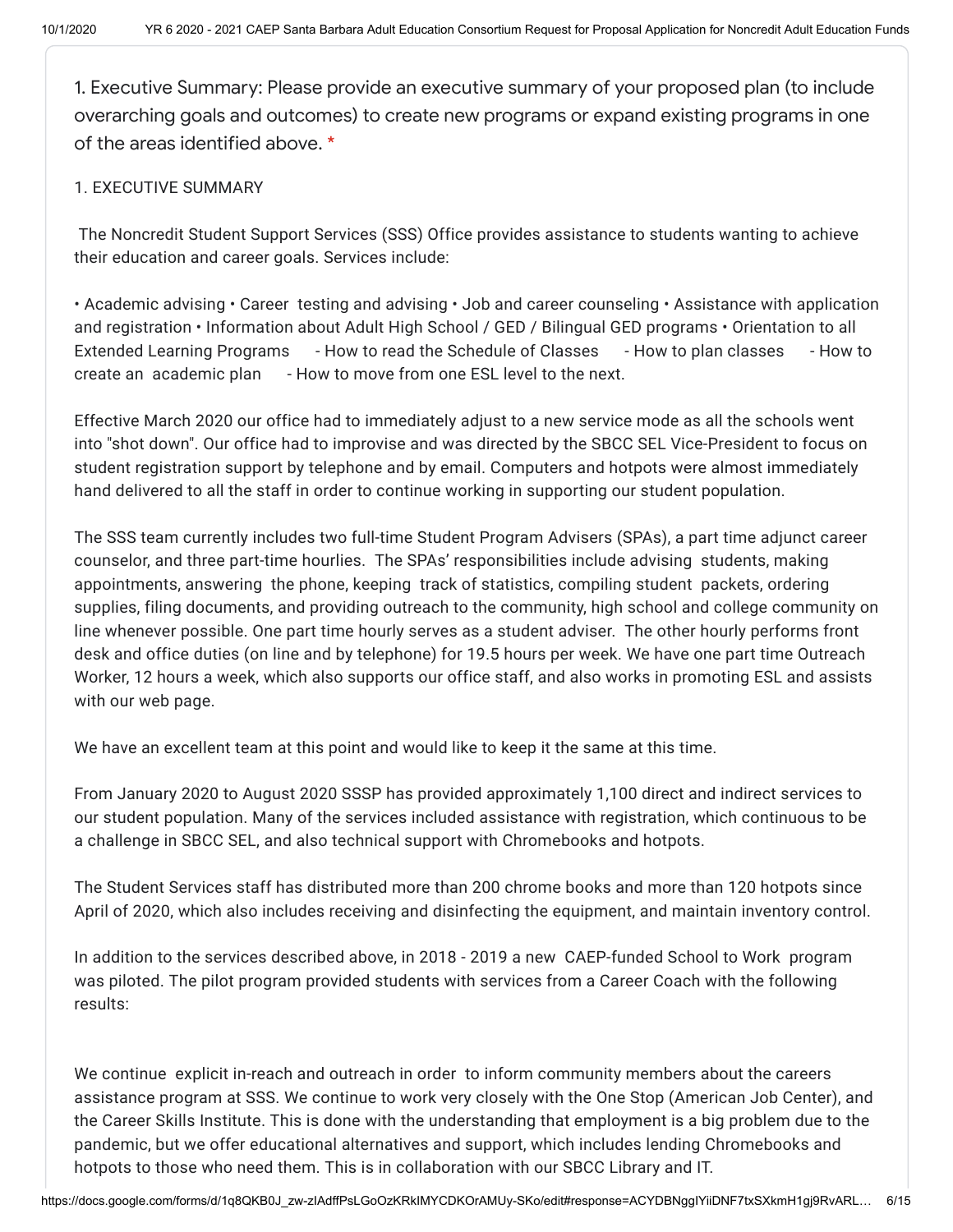1. Executive Summary: Please provide an executive summary of your proposed plan (to include overarching goals and outcomes) to create new programs or expand existing programs in one of the areas identified above. \*

## 1. EXECUTIVE SUMMARY

The Noncredit Student Support Services (SSS) Office provides assistance to students wanting to achieve their education and career goals. Services include:

• Academic advising • Career testing and advising • Job and career counseling • Assistance with application and registration • Information about Adult High School / GED / Bilingual GED programs • Orientation to all Extended Learning Programs - How to read the Schedule of Classes - How to plan classes - How to create an academic plan - How to move from one ESL level to the next.

Effective March 2020 our office had to immediately adjust to a new service mode as all the schools went into "shot down". Our office had to improvise and was directed by the SBCC SEL Vice-President to focus on student registration support by telephone and by email. Computers and hotpots were almost immediately hand delivered to all the staff in order to continue working in supporting our student population.

The SSS team currently includes two full-time Student Program Advisers (SPAs), a part time adjunct career counselor, and three part-time hourlies. The SPAs' responsibilities include advising students, making appointments, answering the phone, keeping track of statistics, compiling student packets, ordering supplies, filing documents, and providing outreach to the community, high school and college community on line whenever possible. One part time hourly serves as a student adviser. The other hourly performs front desk and office duties (on line and by telephone) for 19.5 hours per week. We have one part time Outreach Worker, 12 hours a week, which also supports our office staff, and also works in promoting ESL and assists with our web page.

We have an excellent team at this point and would like to keep it the same at this time.

From January 2020 to August 2020 SSSP has provided approximately 1,100 direct and indirect services to our student population. Many of the services included assistance with registration, which continuous to be a challenge in SBCC SEL, and also technical support with Chromebooks and hotpots.

The Student Services staff has distributed more than 200 chrome books and more than 120 hotpots since April of 2020, which also includes receiving and disinfecting the equipment, and maintain inventory control.

In addition to the services described above, in 2018 - 2019 a new CAEP-funded School to Work program was piloted. The pilot program provided students with services from a Career Coach with the following results:

We continue explicit in-reach and outreach in order to inform community members about the careers assistance program at SSS. We continue to work very closely with the One Stop (American Job Center), and the Career Skills Institute. This is done with the understanding that employment is a big problem due to the pandemic, but we offer educational alternatives and support, which includes lending Chromebooks and hotpots to those who need them. This is in collaboration with our SBCC Library and IT.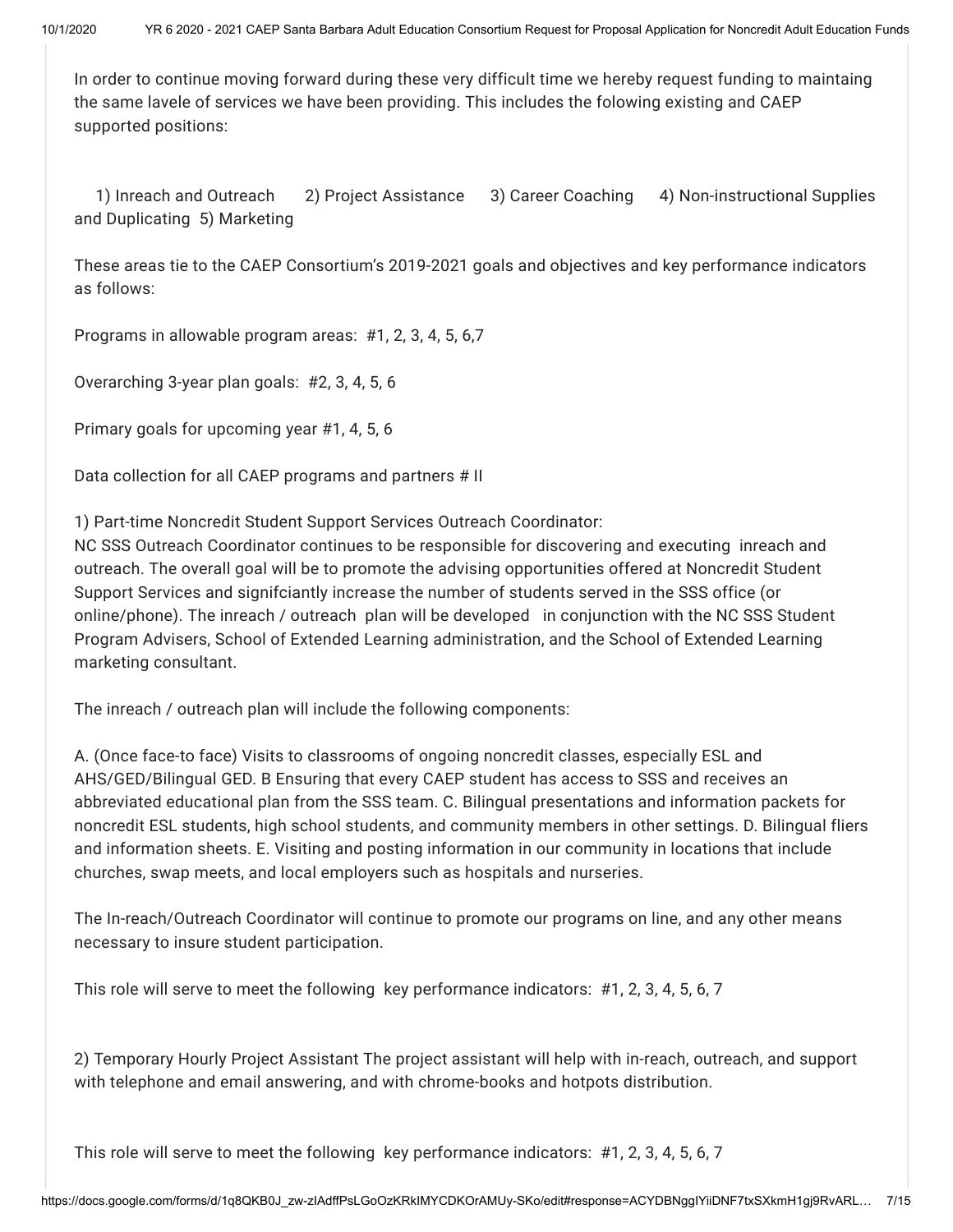In order to continue moving forward during these very difficult time we hereby request funding to maintaing the same lavele of services we have been providing. This includes the folowing existing and CAEP supported positions:

1) Inreach and Outreach 2) Project Assistance 3) Career Coaching 4) Non-instructional Supplies and Duplicating 5) Marketing

These areas tie to the CAEP Consortium's 2019-2021 goals and objectives and key performance indicators as follows:

Programs in allowable program areas: #1, 2, 3, 4, 5, 6,7

Overarching 3-year plan goals: #2, 3, 4, 5, 6

Primary goals for upcoming year #1, 4, 5, 6

Data collection for all CAEP programs and partners # II

1) Part-time Noncredit Student Support Services Outreach Coordinator:

NC SSS Outreach Coordinator continues to be responsible for discovering and executing inreach and outreach. The overall goal will be to promote the advising opportunities offered at Noncredit Student Support Services and signifciantly increase the number of students served in the SSS office (or online/phone). The inreach / outreach plan will be developed in conjunction with the NC SSS Student Program Advisers, School of Extended Learning administration, and the School of Extended Learning marketing consultant.

The inreach / outreach plan will include the following components:

A. (Once face-to face) Visits to classrooms of ongoing noncredit classes, especially ESL and AHS/GED/Bilingual GED. B Ensuring that every CAEP student has access to SSS and receives an abbreviated educational plan from the SSS team. C. Bilingual presentations and information packets for noncredit ESL students, high school students, and community members in other settings. D. Bilingual fliers and information sheets. E. Visiting and posting information in our community in locations that include churches, swap meets, and local employers such as hospitals and nurseries.

The In-reach/Outreach Coordinator will continue to promote our programs on line, and any other means necessary to insure student participation.

This role will serve to meet the following key performance indicators: #1, 2, 3, 4, 5, 6, 7

2) Temporary Hourly Project Assistant The project assistant will help with in-reach, outreach, and support with telephone and email answering, and with chrome-books and hotpots distribution.

This role will serve to meet the following key performance indicators: #1, 2, 3, 4, 5, 6, 7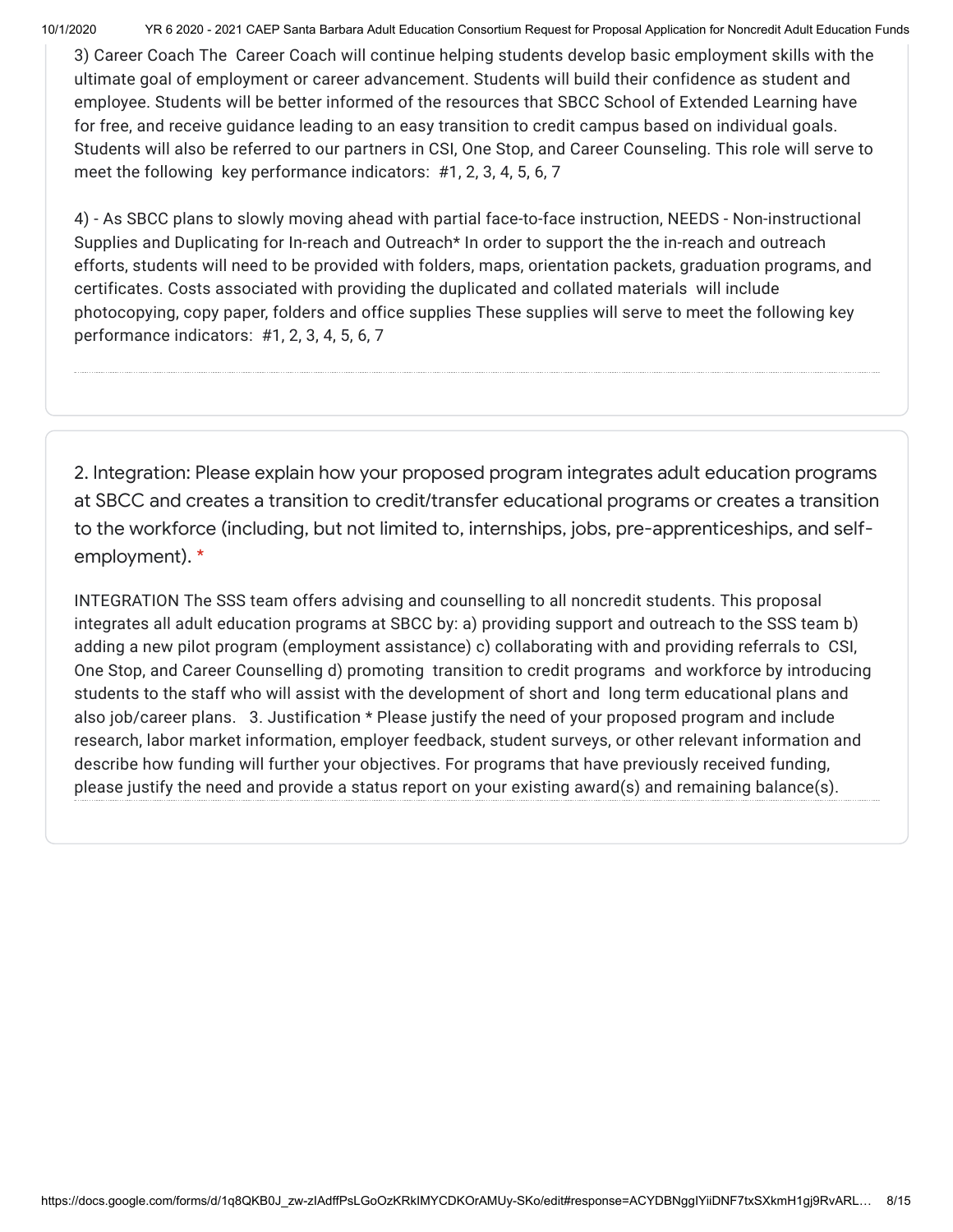10/1/2020 YR 6 2020 - 2021 CAEP Santa Barbara Adult Education Consortium Request for Proposal Application for Noncredit Adult Education Funds

3) Career Coach The Career Coach will continue helping students develop basic employment skills with the ultimate goal of employment or career advancement. Students will build their confidence as student and employee. Students will be better informed of the resources that SBCC School of Extended Learning have for free, and receive guidance leading to an easy transition to credit campus based on individual goals. Students will also be referred to our partners in CSI, One Stop, and Career Counseling. This role will serve to meet the following key performance indicators: #1, 2, 3, 4, 5, 6, 7

4) - As SBCC plans to slowly moving ahead with partial face-to-face instruction, NEEDS - Non-instructional Supplies and Duplicating for In-reach and Outreach<sup>\*</sup> In order to support the the in-reach and outreach efforts, students will need to be provided with folders, maps, orientation packets, graduation programs, and certificates. Costs associated with providing the duplicated and collated materials will include photocopying, copy paper, folders and office supplies These supplies will serve to meet the following key performance indicators: #1, 2, 3, 4, 5, 6, 7

2. Integration: Please explain how your proposed program integrates adult education programs at SBCC and creates a transition to credit/transfer educational programs or creates a transition to the workforce (including, but not limited to, internships, jobs, pre-apprenticeships, and selfemployment). \*

INTEGRATION The SSS team offers advising and counselling to all noncredit students. This proposal integrates all adult education programs at SBCC by: a) providing support and outreach to the SSS team b) adding a new pilot program (employment assistance) c) collaborating with and providing referrals to CSI, One Stop, and Career Counselling d) promoting transition to credit programs and workforce by introducing students to the staff who will assist with the development of short and long term educational plans and also job/career plans. 3. Justification \* Please justify the need of your proposed program and include research, labor market information, employer feedback, student surveys, or other relevant information and describe how funding will further your objectives. For programs that have previously received funding, please justify the need and provide a status report on your existing award(s) and remaining balance(s).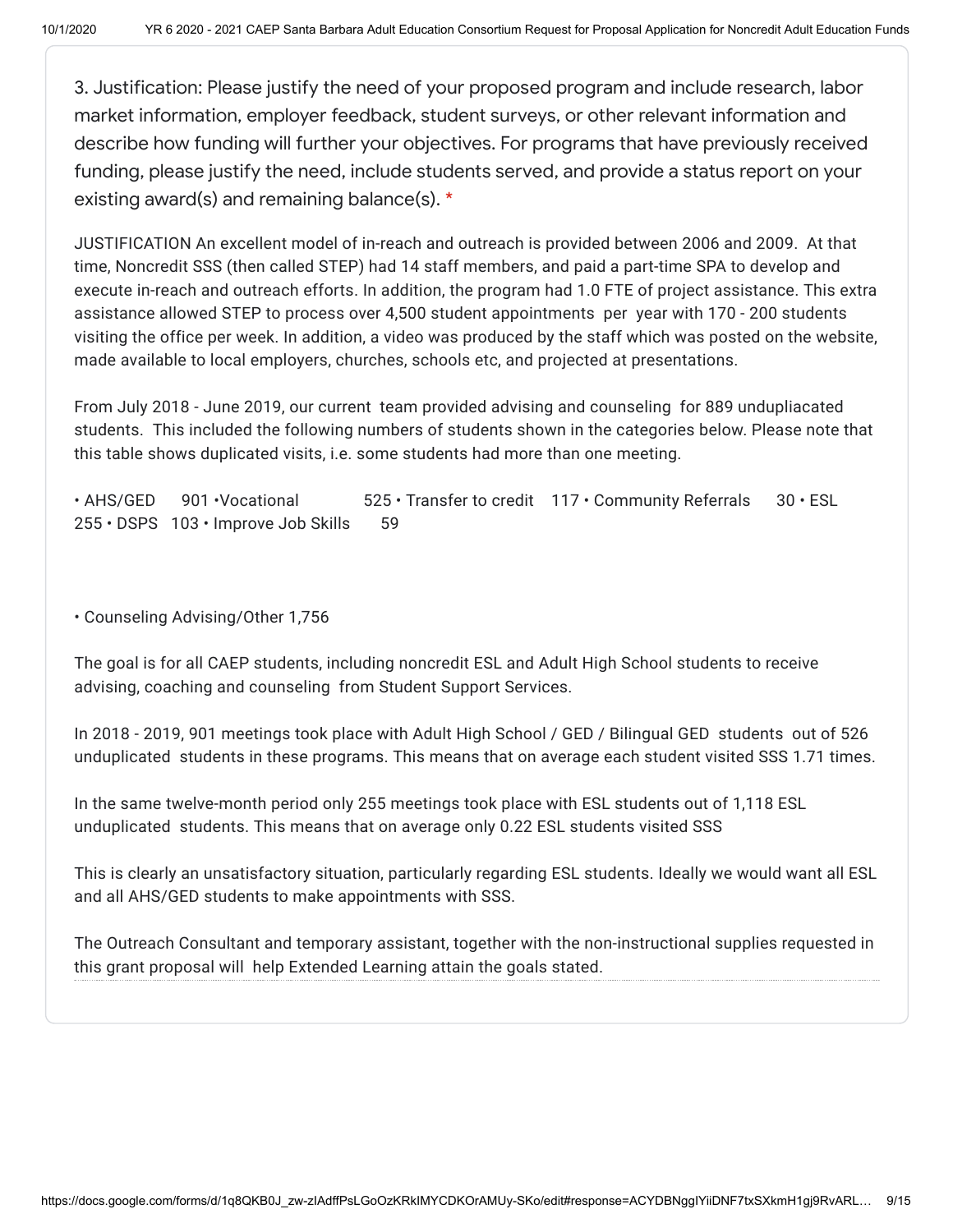3. Justification: Please justify the need of your proposed program and include research, labor market information, employer feedback, student surveys, or other relevant information and describe how funding will further your objectives. For programs that have previously received funding, please justify the need, include students served, and provide a status report on your existing award(s) and remaining balance(s). \*

JUSTIFICATION An excellent model of in-reach and outreach is provided between 2006 and 2009. At that time, Noncredit SSS (then called STEP) had 14 staff members, and paid a part-time SPA to develop and execute in-reach and outreach efforts. In addition, the program had 1.0 FTE of project assistance. This extra assistance allowed STEP to process over 4,500 student appointments per year with 170 - 200 students visiting the office per week. In addition, a video was produced by the staff which was posted on the website, made available to local employers, churches, schools etc, and projected at presentations.

From July 2018 - June 2019, our current team provided advising and counseling for 889 undupliacated students. This included the following numbers of students shown in the categories below. Please note that this table shows duplicated visits, i.e. some students had more than one meeting.

• AHS/GED 901 • Vocational 525 • Transfer to credit 117 • Community Referrals 30 • ESL 255 • DSPS 103 • Improve Job Skills 59

• Counseling Advising/Other 1,756

The goal is for all CAEP students, including noncredit ESL and Adult High School students to receive advising, coaching and counseling from Student Support Services.

In 2018 - 2019, 901 meetings took place with Adult High School / GED / Bilingual GED students out of 526 unduplicated students in these programs. This means that on average each student visited SSS 1.71 times.

In the same twelve-month period only 255 meetings took place with ESL students out of 1,118 ESL unduplicated students. This means that on average only 0.22 ESL students visited SSS

This is clearly an unsatisfactory situation, particularly regarding ESL students. Ideally we would want all ESL and all AHS/GED students to make appointments with SSS.

The Outreach Consultant and temporary assistant, together with the non-instructional supplies requested in this grant proposal will help Extended Learning attain the goals stated.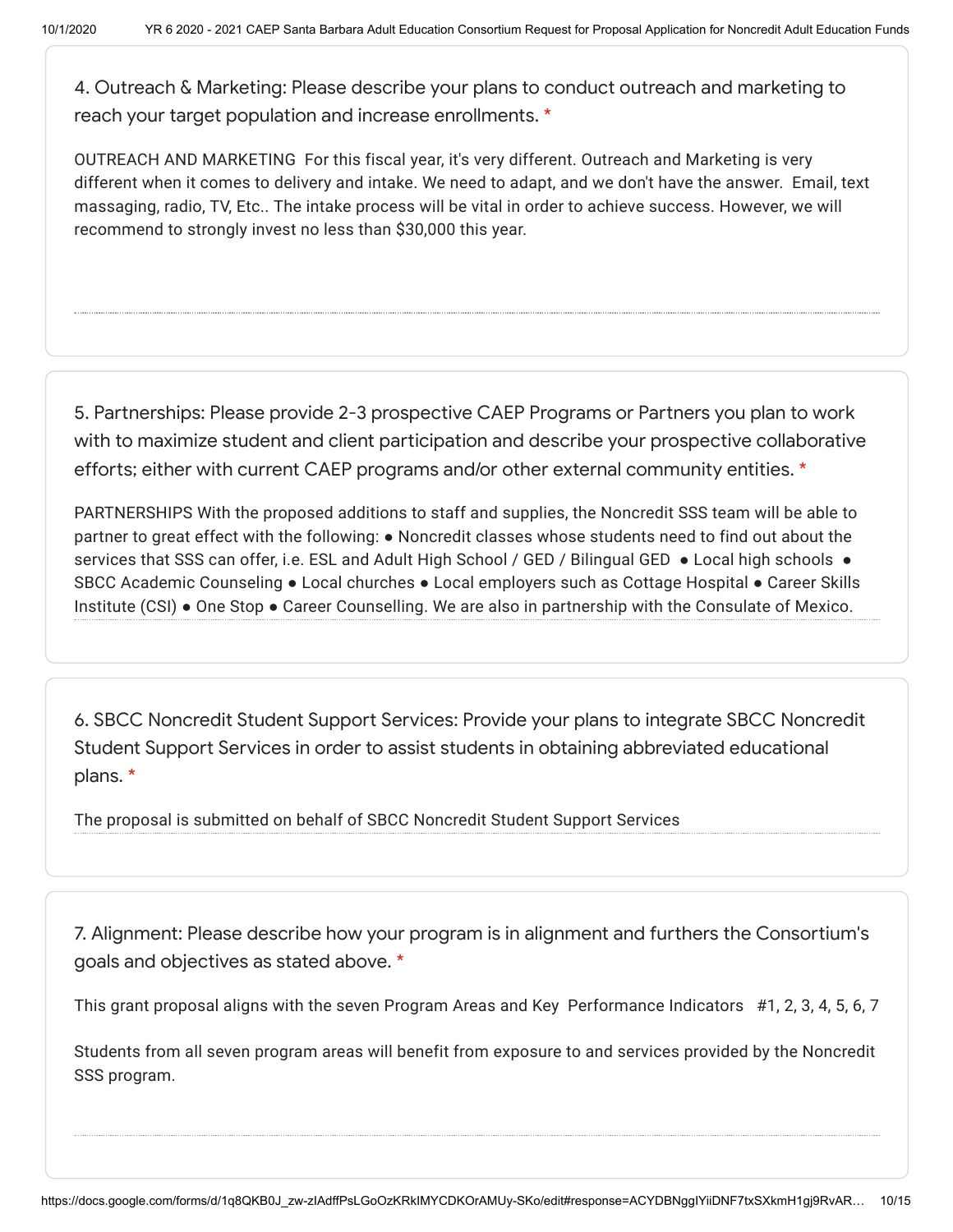4. Outreach & Marketing: Please describe your plans to conduct outreach and marketing to reach your target population and increase enrollments. \*

OUTREACH AND MARKETING For this fiscal year, it's very different. Outreach and Marketing is very different when it comes to delivery and intake. We need to adapt, and we don't have the answer. Email, text massaging, radio, TV, Etc.. The intake process will be vital in order to achieve success. However, we will recommend to strongly invest no less than \$30,000 this year.

5. Partnerships: Please provide 2-3 prospective CAEP Programs or Partners you plan to work with to maximize student and client participation and describe your prospective collaborative efforts; either with current CAEP programs and/or other external community entities. \*

PARTNERSHIPS With the proposed additions to staff and supplies, the Noncredit SSS team will be able to partner to great effect with the following: ● Noncredit classes whose students need to find out about the services that SSS can offer, i.e. ESL and Adult High School / GED / Bilingual GED • Local high schools • SBCC Academic Counseling ● Local churches ● Local employers such as Cottage Hospital ● Career Skills Institute (CSI) ● One Stop ● Career Counselling. We are also in partnership with the Consulate of Mexico.

6. SBCC Noncredit Student Support Services: Provide your plans to integrate SBCC Noncredit Student Support Services in order to assist students in obtaining abbreviated educational plans. \*

The proposal is submitted on behalf of SBCC Noncredit Student Support Services

7. Alignment: Please describe how your program is in alignment and furthers the Consortium's goals and objectives as stated above. \*

This grant proposal aligns with the seven Program Areas and Key Performance Indicators #1, 2, 3, 4, 5, 6, 7

Students from all seven program areas will benefit from exposure to and services provided by the Noncredit SSS program.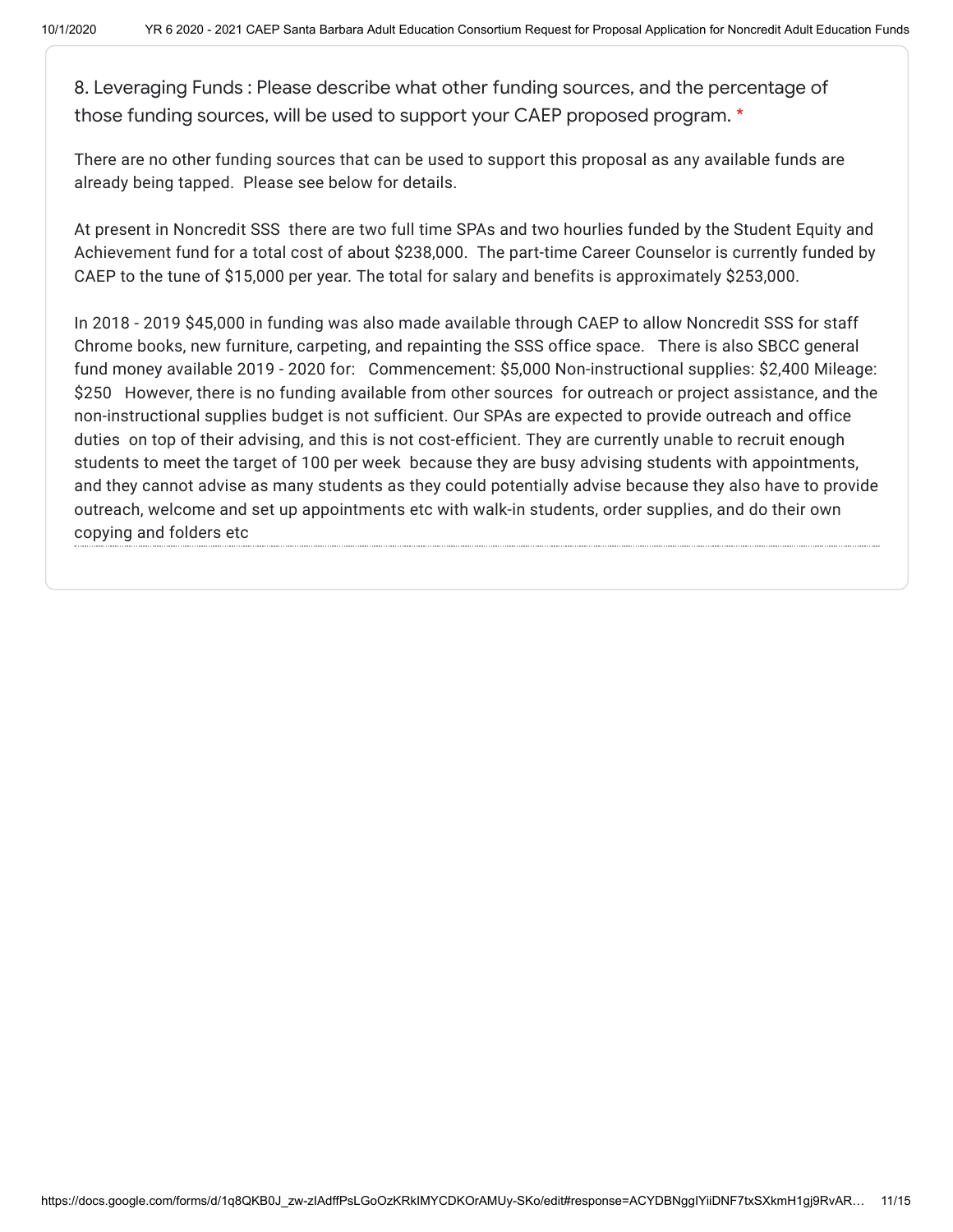8. Leveraging Funds : Please describe what other funding sources, and the percentage of those funding sources, will be used to support your CAEP proposed program. \*

There are no other funding sources that can be used to support this proposal as any available funds are already being tapped. Please see below for details.

At present in Noncredit SSS there are two full time SPAs and two hourlies funded by the Student Equity and Achievement fund for a total cost of about \$238,000. The part-time Career Counselor is currently funded by CAEP to the tune of \$15,000 per year. The total for salary and benefits is approximately \$253,000.

In 2018 - 2019 \$45,000 in funding was also made available through CAEP to allow Noncredit SSS for staff Chrome books, new furniture, carpeting, and repainting the SSS office space. There is also SBCC general fund money available 2019 - 2020 for: Commencement: \$5,000 Non-instructional supplies: \$2,400 Mileage: \$250 However, there is no funding available from other sources for outreach or project assistance, and the non-instructional supplies budget is not sufficient. Our SPAs are expected to provide outreach and office duties on top of their advising, and this is not cost-efficient. They are currently unable to recruit enough students to meet the target of 100 per week because they are busy advising students with appointments, and they cannot advise as many students as they could potentially advise because they also have to provide outreach, welcome and set up appointments etc with walk-in students, order supplies, and do their own copying and folders etc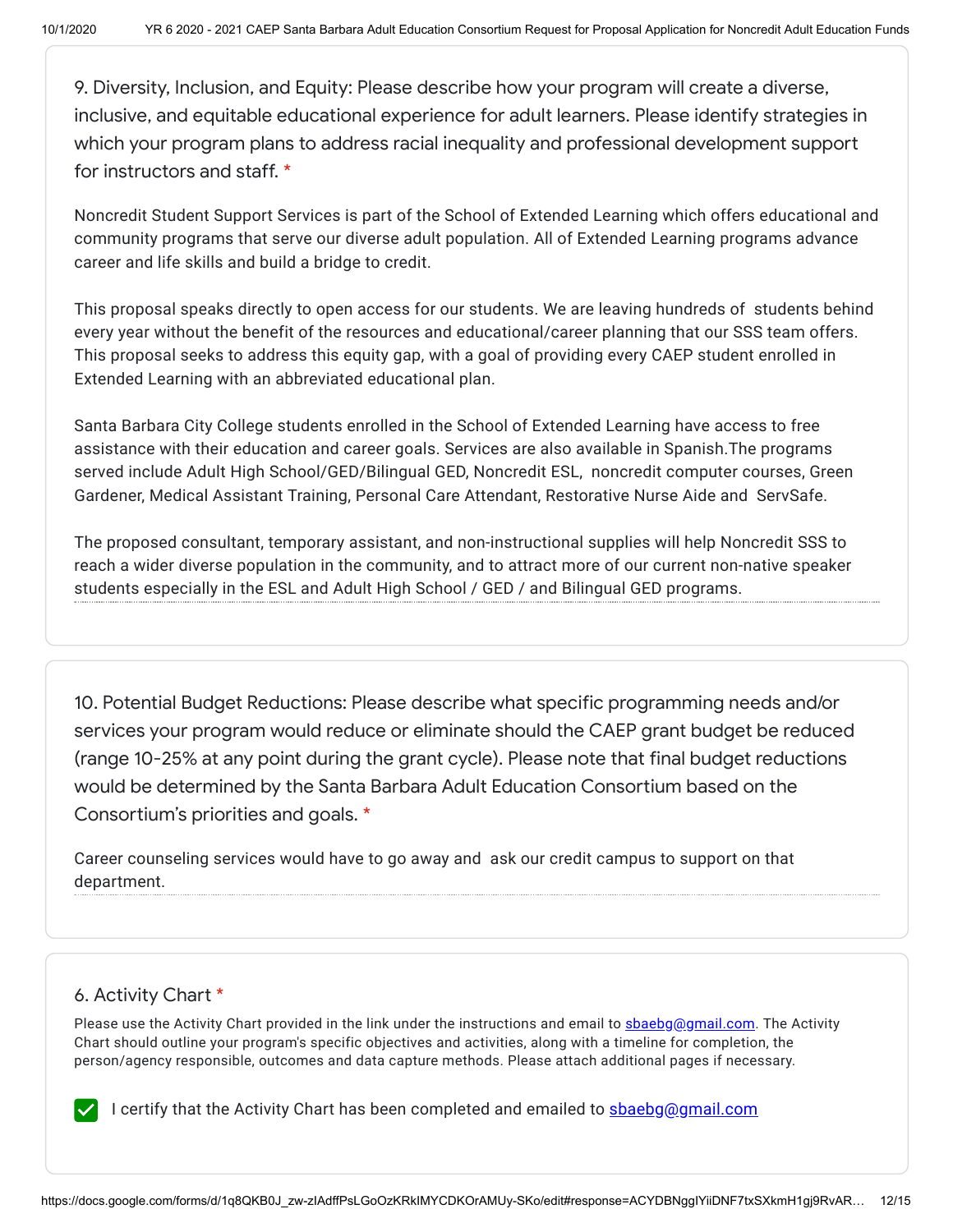9. Diversity, Inclusion, and Equity: Please describe how your program will create a diverse, inclusive, and equitable educational experience for adult learners. Please identify strategies in which your program plans to address racial inequality and professional development support for instructors and staff. \*

Noncredit Student Support Services is part of the School of Extended Learning which offers educational and community programs that serve our diverse adult population. All of Extended Learning programs advance career and life skills and build a bridge to credit.

This proposal speaks directly to open access for our students. We are leaving hundreds of students behind every year without the benefit of the resources and educational/career planning that our SSS team offers. This proposal seeks to address this equity gap, with a goal of providing every CAEP student enrolled in Extended Learning with an abbreviated educational plan.

Santa Barbara City College students enrolled in the School of Extended Learning have access to free assistance with their education and career goals. Services are also available in Spanish.The programs served include Adult High School/GED/Bilingual GED, Noncredit ESL, noncredit computer courses, Green Gardener, Medical Assistant Training, Personal Care Attendant, Restorative Nurse Aide and ServSafe.

The proposed consultant, temporary assistant, and non-instructional supplies will help Noncredit SSS to reach a wider diverse population in the community, and to attract more of our current non-native speaker students especially in the ESL and Adult High School / GED / and Bilingual GED programs.

10. Potential Budget Reductions: Please describe what specific programming needs and/or services your program would reduce or eliminate should the CAEP grant budget be reduced (range 10-25% at any point during the grant cycle). Please note that final budget reductions would be determined by the Santa Barbara Adult Education Consortium based on the Consortium's priorities and goals. \*

Career counseling services would have to go away and ask our credit campus to support on that department.

# 6. Activity Chart \*

Please use the Activity Chart provided in the link under the instructions and email to [sbaebg@gmail.com.](mailto:sbaebg@gmail.com) The Activity Chart should outline your program's specific objectives and activities, along with a timeline for completion, the person/agency responsible, outcomes and data capture methods. Please attach additional pages if necessary.

I certify that the Activity Chart has been completed and emailed to **[sbaebg@gmail.com](mailto:sbaebg@gmail.com)**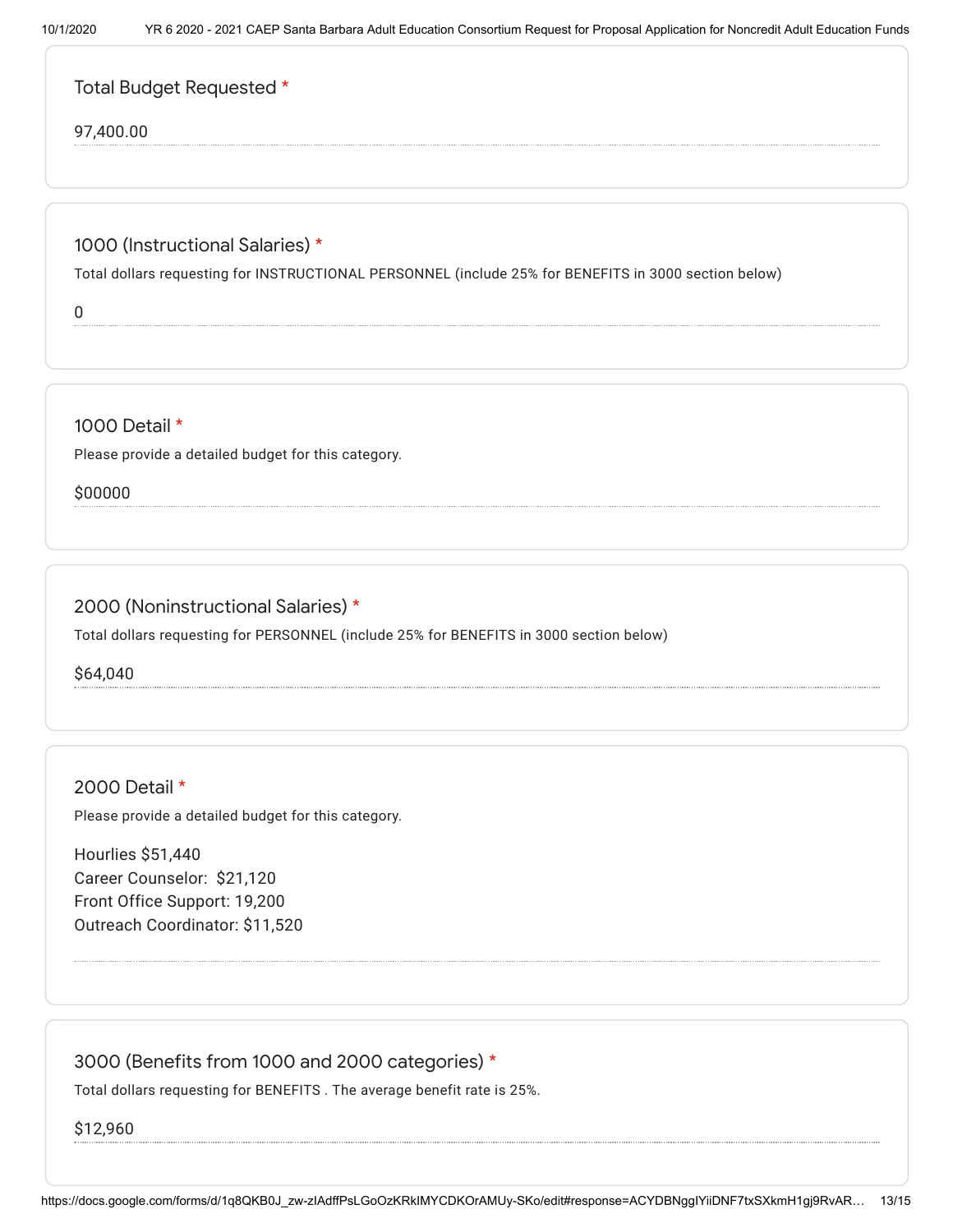|  | Total Budget Requested * |  |
|--|--------------------------|--|
|--|--------------------------|--|

#### 97,400.00

#### 1000 (Instructional Salaries) \*

Total dollars requesting for INSTRUCTIONAL PERSONNEL (include 25% for BENEFITS in 3000 section below)

0

#### 1000 Detail \*

Please provide a detailed budget for this category.

\$00000

### 2000 (Noninstructional Salaries) \*

Total dollars requesting for PERSONNEL (include 25% for BENEFITS in 3000 section below)

\$64,040

2000 Detail \*

Please provide a detailed budget for this category.

Hourlies \$51,440 Career Counselor: \$21,120 Front Office Support: 19,200 Outreach Coordinator: \$11,520

### 3000 (Benefits from 1000 and 2000 categories) \*

Total dollars requesting for BENEFITS . The average benefit rate is 25%.

\$12,960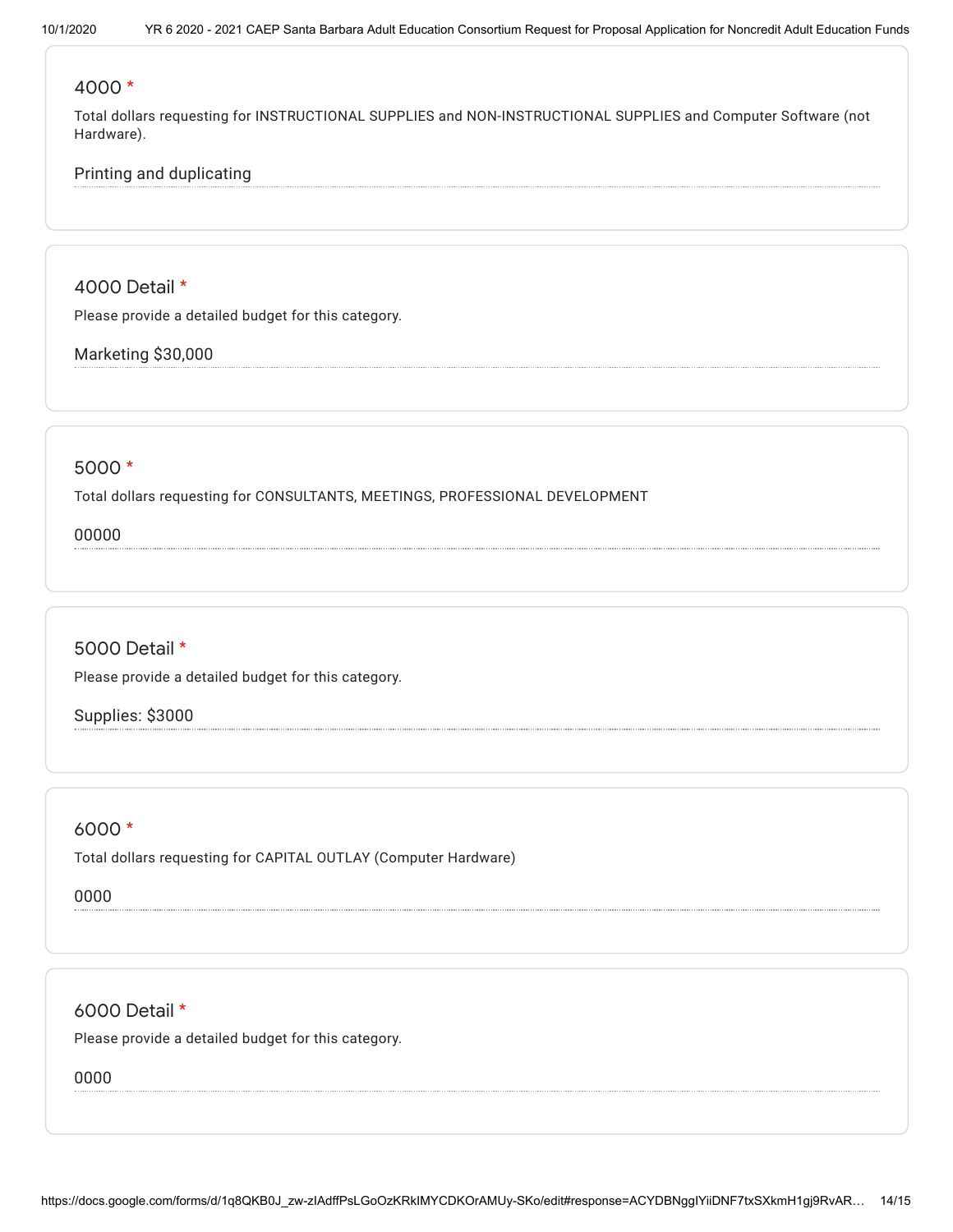#### 4000 \*

Total dollars requesting for INSTRUCTIONAL SUPPLIES and NON-INSTRUCTIONAL SUPPLIES and Computer Software (not Hardware).

### Printing and duplicating

4000 Detail \*

Please provide a detailed budget for this category.

Marketing \$30,000

#### 5000 \*

Total dollars requesting for CONSULTANTS, MEETINGS, PROFESSIONAL DEVELOPMENT

00000

### 5000 Detail \*

Please provide a detailed budget for this category.

Supplies: \$3000

6000 \*

Total dollars requesting for CAPITAL OUTLAY (Computer Hardware)

0000

6000 Detail \*

Please provide a detailed budget for this category.

0000